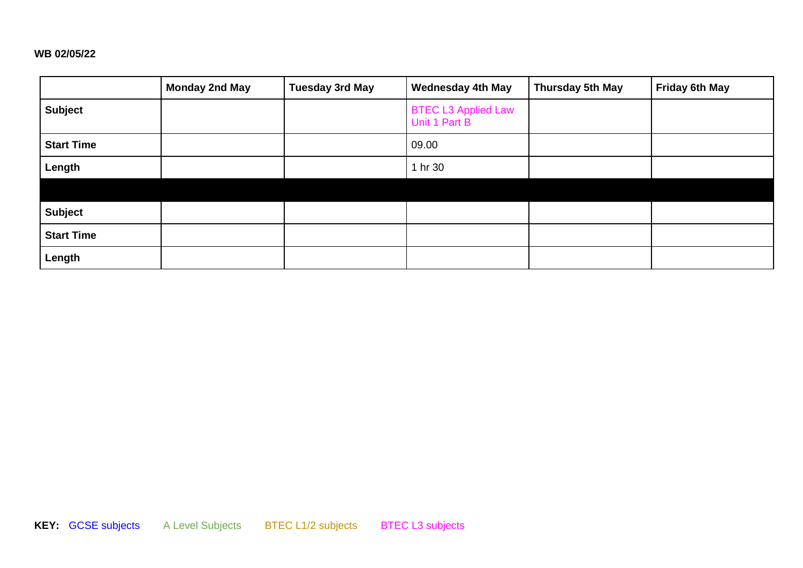#### **WB 02/05/22**

|                   | <b>Monday 2nd May</b> | <b>Tuesday 3rd May</b> | <b>Wednesday 4th May</b>                    | Thursday 5th May | Friday 6th May |
|-------------------|-----------------------|------------------------|---------------------------------------------|------------------|----------------|
| <b>Subject</b>    |                       |                        | <b>BTEC L3 Applied Law</b><br>Unit 1 Part B |                  |                |
| <b>Start Time</b> |                       |                        | 09.00                                       |                  |                |
| Length            |                       |                        | 1 hr 30                                     |                  |                |
|                   |                       |                        |                                             |                  |                |
| <b>Subject</b>    |                       |                        |                                             |                  |                |
| <b>Start Time</b> |                       |                        |                                             |                  |                |
| Length            |                       |                        |                                             |                  |                |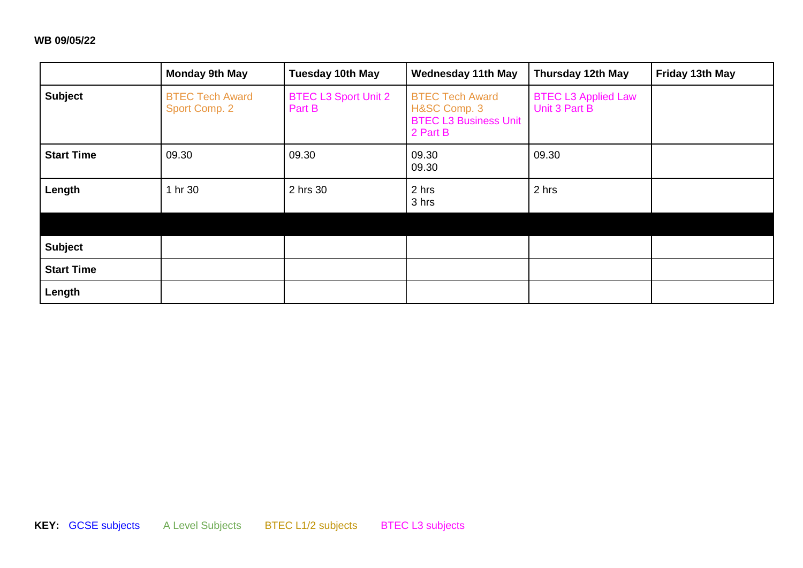# **WB 09/05/22**

|                   | <b>Monday 9th May</b>                   | <b>Tuesday 10th May</b>               | <b>Wednesday 11th May</b>                                                          | Thursday 12th May                           | Friday 13th May |
|-------------------|-----------------------------------------|---------------------------------------|------------------------------------------------------------------------------------|---------------------------------------------|-----------------|
| <b>Subject</b>    | <b>BTEC Tech Award</b><br>Sport Comp. 2 | <b>BTEC L3 Sport Unit 2</b><br>Part B | <b>BTEC Tech Award</b><br>H&SC Comp. 3<br><b>BTEC L3 Business Unit</b><br>2 Part B | <b>BTEC L3 Applied Law</b><br>Unit 3 Part B |                 |
| <b>Start Time</b> | 09.30                                   | 09.30                                 | 09.30<br>09.30                                                                     | 09.30                                       |                 |
| Length            | 1 hr 30                                 | 2 hrs 30                              | 2 hrs<br>3 hrs                                                                     | 2 hrs                                       |                 |
|                   |                                         |                                       |                                                                                    |                                             |                 |
| <b>Subject</b>    |                                         |                                       |                                                                                    |                                             |                 |
| <b>Start Time</b> |                                         |                                       |                                                                                    |                                             |                 |
| Length            |                                         |                                       |                                                                                    |                                             |                 |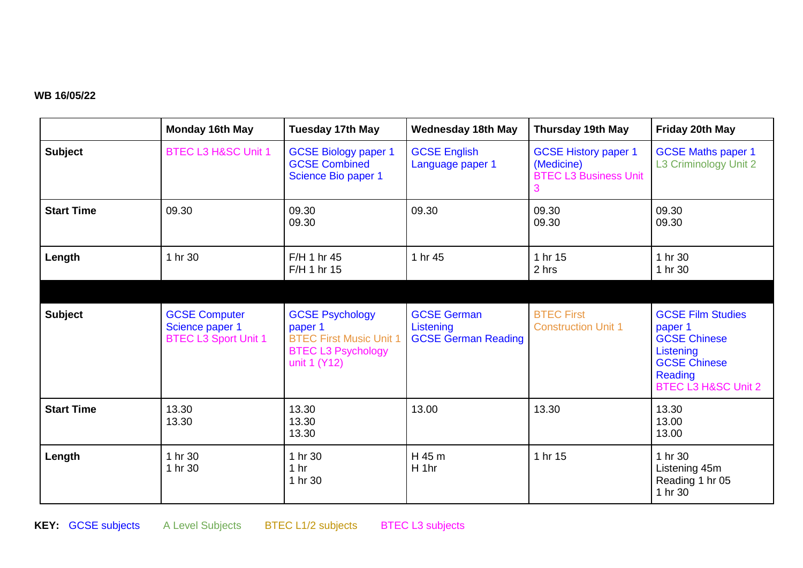## **WB 16/05/22**

|                   | <b>Monday 16th May</b>                                                 | <b>Tuesday 17th May</b>                                                                                          | <b>Wednesday 18th May</b>                                     | <b>Thursday 19th May</b>                                                       | Friday 20th May                                                                                                                             |
|-------------------|------------------------------------------------------------------------|------------------------------------------------------------------------------------------------------------------|---------------------------------------------------------------|--------------------------------------------------------------------------------|---------------------------------------------------------------------------------------------------------------------------------------------|
| <b>Subject</b>    | BTEC L3 H&SC Unit 1                                                    | <b>GCSE Biology paper 1</b><br><b>GCSE Combined</b><br>Science Bio paper 1                                       | <b>GCSE English</b><br>Language paper 1                       | <b>GCSE History paper 1</b><br>(Medicine)<br><b>BTEC L3 Business Unit</b><br>3 | <b>GCSE Maths paper 1</b><br>L3 Criminology Unit 2                                                                                          |
| <b>Start Time</b> | 09.30                                                                  | 09.30<br>09.30                                                                                                   | 09.30                                                         | 09.30<br>09.30                                                                 | 09.30<br>09.30                                                                                                                              |
| Length            | 1 hr 30                                                                | F/H 1 hr 45<br>F/H 1 hr 15                                                                                       | 1 hr 45                                                       | 1 hr 15<br>2 hrs                                                               | 1 hr 30<br>1 hr 30                                                                                                                          |
|                   |                                                                        |                                                                                                                  |                                                               |                                                                                |                                                                                                                                             |
| <b>Subject</b>    | <b>GCSE Computer</b><br>Science paper 1<br><b>BTEC L3 Sport Unit 1</b> | <b>GCSE Psychology</b><br>paper 1<br><b>BTEC First Music Unit 1</b><br><b>BTEC L3 Psychology</b><br>unit 1 (Y12) | <b>GCSE German</b><br>Listening<br><b>GCSE German Reading</b> | <b>BTEC First</b><br><b>Construction Unit 1</b>                                | <b>GCSE Film Studies</b><br>paper 1<br><b>GCSE Chinese</b><br>Listening<br><b>GCSE Chinese</b><br>Reading<br><b>BTEC L3 H&amp;SC Unit 2</b> |
| <b>Start Time</b> | 13.30<br>13.30                                                         | 13.30<br>13.30<br>13.30                                                                                          | 13.00                                                         | 13.30                                                                          | 13.30<br>13.00<br>13.00                                                                                                                     |
| Length            | 1 hr 30<br>1 hr 30                                                     | 1 hr 30<br>1 <sub>hr</sub><br>1 hr 30                                                                            | H 45 m<br>H 1hr                                               | 1 hr 15                                                                        | 1 hr 30<br>Listening 45m<br>Reading 1 hr 05<br>1 hr 30                                                                                      |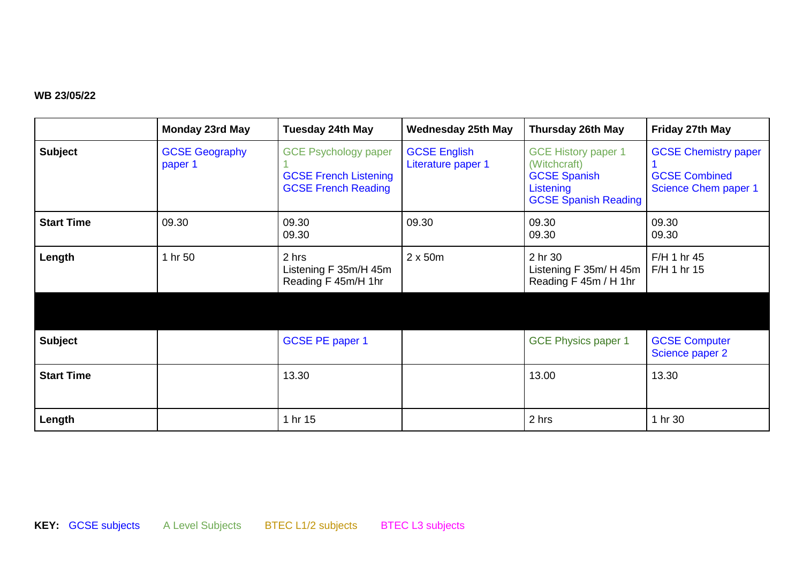# **WB 23/05/22**

|                   | <b>Monday 23rd May</b>           | <b>Tuesday 24th May</b>                                                                   | <b>Wednesday 25th May</b>                 | <b>Thursday 26th May</b>                                                                                      | Friday 27th May                                                             |
|-------------------|----------------------------------|-------------------------------------------------------------------------------------------|-------------------------------------------|---------------------------------------------------------------------------------------------------------------|-----------------------------------------------------------------------------|
| <b>Subject</b>    | <b>GCSE Geography</b><br>paper 1 | <b>GCE Psychology paper</b><br><b>GCSE French Listening</b><br><b>GCSE French Reading</b> | <b>GCSE English</b><br>Literature paper 1 | <b>GCE History paper 1</b><br>(Witchcraft)<br><b>GCSE Spanish</b><br>Listening<br><b>GCSE Spanish Reading</b> | <b>GCSE Chemistry paper</b><br><b>GCSE Combined</b><br>Science Chem paper 1 |
| <b>Start Time</b> | 09.30                            | 09.30<br>09.30                                                                            | 09.30                                     | 09.30<br>09.30                                                                                                | 09.30<br>09.30                                                              |
| Length            | 1 hr 50                          | 2 hrs<br>Listening F 35m/H 45m<br>Reading F 45m/H 1hr                                     | $2 \times 50m$                            | 2 hr 30<br>Listening F 35m/ H 45m<br>Reading F 45m / H 1hr                                                    | F/H 1 hr 45<br>F/H 1 hr 15                                                  |
|                   |                                  |                                                                                           |                                           |                                                                                                               |                                                                             |
| <b>Subject</b>    |                                  | <b>GCSE PE paper 1</b>                                                                    |                                           | <b>GCE Physics paper 1</b>                                                                                    | <b>GCSE Computer</b><br>Science paper 2                                     |
| <b>Start Time</b> |                                  | 13.30                                                                                     |                                           | 13.00                                                                                                         | 13.30                                                                       |
| Length            |                                  | 1 hr 15                                                                                   |                                           | 2 hrs                                                                                                         | 1 hr 30                                                                     |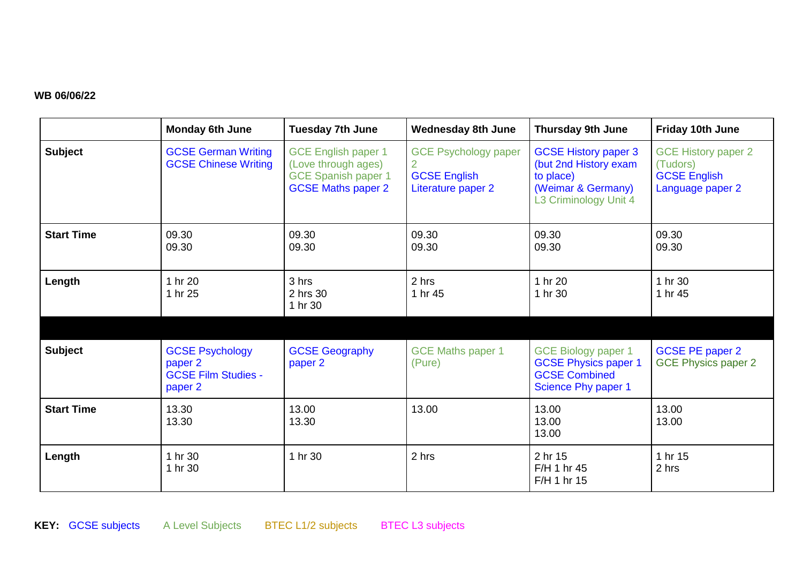## **WB 06/06/22**

|                   | <b>Monday 6th June</b>                                                     | <b>Tuesday 7th June</b>                                                                                      | <b>Wednesday 8th June</b>                                                     | <b>Thursday 9th June</b>                                                                                         | Friday 10th June                                                                  |
|-------------------|----------------------------------------------------------------------------|--------------------------------------------------------------------------------------------------------------|-------------------------------------------------------------------------------|------------------------------------------------------------------------------------------------------------------|-----------------------------------------------------------------------------------|
| <b>Subject</b>    | <b>GCSE German Writing</b><br><b>GCSE Chinese Writing</b>                  | <b>GCE English paper 1</b><br>(Love through ages)<br><b>GCE Spanish paper 1</b><br><b>GCSE Maths paper 2</b> | <b>GCE Psychology paper</b><br>2<br><b>GCSE English</b><br>Literature paper 2 | <b>GCSE History paper 3</b><br>(but 2nd History exam<br>to place)<br>(Weimar & Germany)<br>L3 Criminology Unit 4 | <b>GCE History paper 2</b><br>(Tudors)<br><b>GCSE English</b><br>Language paper 2 |
| <b>Start Time</b> | 09.30<br>09.30                                                             | 09.30<br>09.30                                                                                               | 09.30<br>09.30                                                                | 09.30<br>09.30                                                                                                   | 09.30<br>09.30                                                                    |
| Length            | 1 hr 20<br>1 hr 25                                                         | 3 hrs<br>2 hrs 30<br>1 hr 30                                                                                 | 2 hrs<br>1 hr 45                                                              | 1 hr 20<br>1 hr 30                                                                                               | 1 hr 30<br>1 hr 45                                                                |
|                   |                                                                            |                                                                                                              |                                                                               |                                                                                                                  |                                                                                   |
| <b>Subject</b>    | <b>GCSE Psychology</b><br>paper 2<br><b>GCSE Film Studies -</b><br>paper 2 | <b>GCSE Geography</b><br>paper 2                                                                             | <b>GCE Maths paper 1</b><br>(Pure)                                            | <b>GCE Biology paper 1</b><br><b>GCSE Physics paper 1</b><br><b>GCSE Combined</b><br>Science Phy paper 1         | <b>GCSE PE paper 2</b><br><b>GCE Physics paper 2</b>                              |
| <b>Start Time</b> | 13.30<br>13.30                                                             | 13.00<br>13.30                                                                                               | 13.00                                                                         | 13.00<br>13.00<br>13.00                                                                                          | 13.00<br>13.00                                                                    |
| Length            | 1 hr 30<br>1 hr 30                                                         | 1 hr 30                                                                                                      | 2 hrs                                                                         | 2 hr 15<br>F/H 1 hr 45<br>F/H 1 hr 15                                                                            | 1 hr 15<br>2 hrs                                                                  |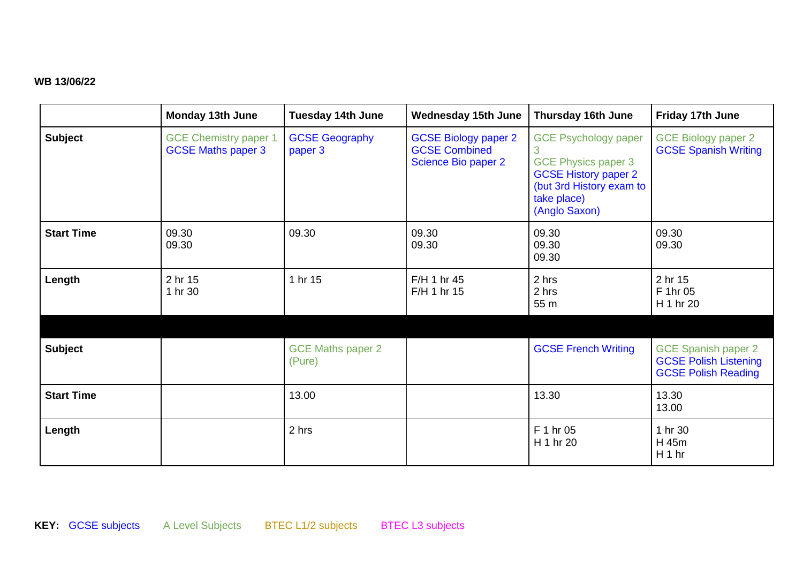### **WB 13/06/22**

|                   | <b>Monday 13th June</b>                                   | <b>Tuesday 14th June</b>           | <b>Wednesday 15th June</b>                                                 | <b>Thursday 16th June</b>                                                                                                                            | Friday 17th June                                                                         |
|-------------------|-----------------------------------------------------------|------------------------------------|----------------------------------------------------------------------------|------------------------------------------------------------------------------------------------------------------------------------------------------|------------------------------------------------------------------------------------------|
| <b>Subject</b>    | <b>GCE Chemistry paper 1</b><br><b>GCSE Maths paper 3</b> | <b>GCSE Geography</b><br>paper 3   | <b>GCSE Biology paper 2</b><br><b>GCSE Combined</b><br>Science Bio paper 2 | <b>GCE Psychology paper</b><br><b>GCE Physics paper 3</b><br><b>GCSE History paper 2</b><br>(but 3rd History exam to<br>take place)<br>(Anglo Saxon) | <b>GCE Biology paper 2</b><br><b>GCSE Spanish Writing</b>                                |
| <b>Start Time</b> | 09.30<br>09.30                                            | 09.30                              | 09.30<br>09.30                                                             | 09.30<br>09.30<br>09.30                                                                                                                              | 09.30<br>09.30                                                                           |
| Length            | 2 hr 15<br>1 hr 30                                        | 1 hr 15                            | F/H 1 hr 45<br>F/H 1 hr 15                                                 | 2 hrs<br>2 hrs<br>55 m                                                                                                                               | 2 hr 15<br>F 1hr 05<br>H 1 hr 20                                                         |
|                   |                                                           |                                    |                                                                            |                                                                                                                                                      |                                                                                          |
| <b>Subject</b>    |                                                           | <b>GCE Maths paper 2</b><br>(Pure) |                                                                            | <b>GCSE French Writing</b>                                                                                                                           | <b>GCE Spanish paper 2</b><br><b>GCSE Polish Listening</b><br><b>GCSE Polish Reading</b> |
| <b>Start Time</b> |                                                           | 13.00                              |                                                                            | 13.30                                                                                                                                                | 13.30<br>13.00                                                                           |
| Length            |                                                           | 2 hrs                              |                                                                            | F 1 hr 05<br>H 1 hr 20                                                                                                                               | 1 hr 30<br>H 45m<br>H <sub>1</sub> hr                                                    |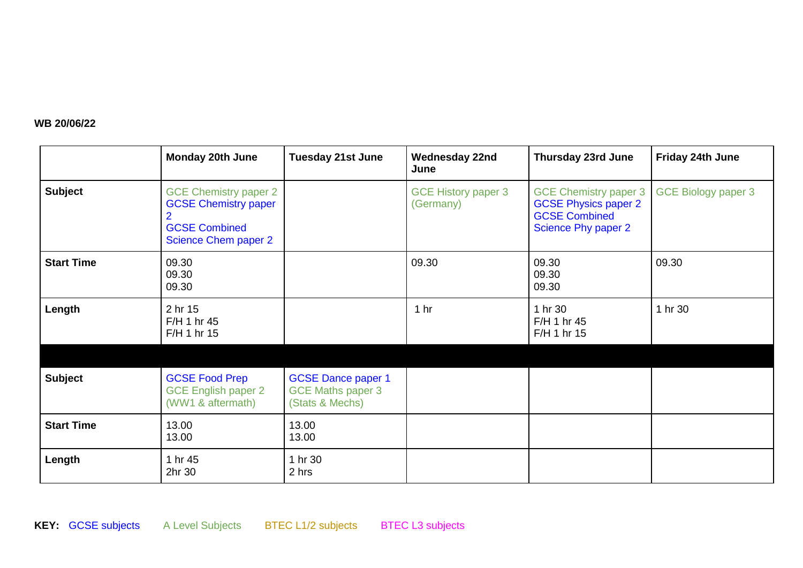# **WB 20/06/22**

|                   | <b>Monday 20th June</b>                                                                                            | <b>Tuesday 21st June</b>                                                 | <b>Wednesday 22nd</b><br>June           | Thursday 23rd June                                                                                         | Friday 24th June           |
|-------------------|--------------------------------------------------------------------------------------------------------------------|--------------------------------------------------------------------------|-----------------------------------------|------------------------------------------------------------------------------------------------------------|----------------------------|
| <b>Subject</b>    | <b>GCE Chemistry paper 2</b><br><b>GCSE Chemistry paper</b><br><b>GCSE Combined</b><br><b>Science Chem paper 2</b> |                                                                          | <b>GCE History paper 3</b><br>(Germany) | <b>GCE Chemistry paper 3</b><br><b>GCSE Physics paper 2</b><br><b>GCSE Combined</b><br>Science Phy paper 2 | <b>GCE Biology paper 3</b> |
| <b>Start Time</b> | 09.30<br>09.30<br>09.30                                                                                            |                                                                          | 09.30                                   | 09.30<br>09.30<br>09.30                                                                                    | 09.30                      |
| Length            | 2 hr 15<br>F/H 1 hr 45<br>F/H 1 hr 15                                                                              |                                                                          | 1 <sub>hr</sub>                         | 1 hr 30<br>F/H 1 hr 45<br>F/H 1 hr 15                                                                      | 1 hr 30                    |
| <b>Subject</b>    | <b>GCSE Food Prep</b><br><b>GCE English paper 2</b><br>(WW1 & aftermath)                                           | <b>GCSE Dance paper 1</b><br><b>GCE Maths paper 3</b><br>(Stats & Mechs) |                                         |                                                                                                            |                            |
| <b>Start Time</b> | 13.00<br>13.00                                                                                                     | 13.00<br>13.00                                                           |                                         |                                                                                                            |                            |
| Length            | 1 hr 45<br>2hr 30                                                                                                  | 1 hr 30<br>2 hrs                                                         |                                         |                                                                                                            |                            |